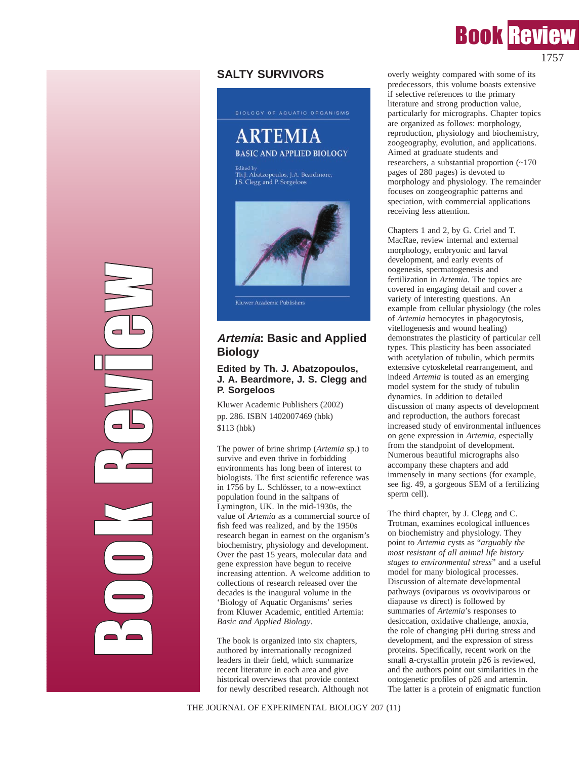# **SALTY SURVIVORS**



BIOLOGY OF AQUATIC ORGANISMS

**BASIC AND APPLIED BIOLOGY** 

**ARTEMIA** 

Kluwer Academic Publishers

# **Artemia: Basic and Applied Biology**

### **Edited by Th. J. Abatzopoulos, J. A. Beardmore, J. S. Clegg and P. Sorgeloos**

Kluwer Academic Publishers (2002) pp. 286. ISBN 1402007469 (hbk) \$113 (hbk)

The power of brine shrimp (*Artemia* sp.) to survive and even thrive in forbidding environments has long been of interest to biologists. The first scientific reference was in 1756 by L. Schlösser, to a now-extinct population found in the saltpans of Lymington, UK. In the mid-1930s, the value of *Artemia* as a commercial source of fish feed was realized, and by the 1950s research began in earnest on the organism's biochemistry, physiology and development. Over the past 15 years, molecular data and gene expression have begun to receive increasing attention. A welcome addition to collections of research released over the decades is the inaugural volume in the 'Biology of Aquatic Organisms' series from Kluwer Academic, entitled Artemia: *Basic and Applied Biology*.

The book is organized into six chapters, authored by internationally recognized leaders in their field, which summarize recent literature in each area and give historical overviews that provide context for newly described research. Although not

**P** 

o

o

k R

e

v

in 1990 and 1990.

GB)

w

overly weighty compared with some of its predecessors, this volume boasts extensive if selective references to the primary literature and strong production value, particularly for micrographs. Chapter topics are organized as follows: morphology, reproduction, physiology and biochemistry, zoogeography, evolution, and applications. Aimed at graduate students and researchers, a substantial proportion (~170 pages of 280 pages) is devoted to morphology and physiology. The remainder focuses on zoogeographic patterns and speciation, with commercial applications receiving less attention.

Chapters 1 and 2, by G. Criel and T. MacRae, review internal and external morphology, embryonic and larval development, and early events of oogenesis, spermatogenesis and fertilization in *Artemia*. The topics are covered in engaging detail and cover a variety of interesting questions. An example from cellular physiology (the roles of *Artemia* hemocytes in phagocytosis, vitellogenesis and wound healing) demonstrates the plasticity of particular cell types. This plasticity has been associated with acetylation of tubulin, which permits extensive cytoskeletal rearrangement, and indeed *Artemia* is touted as an emerging model system for the study of tubulin dynamics. In addition to detailed discussion of many aspects of development and reproduction, the authors forecast increased study of environmental influences on gene expression in *Artemia*, especially from the standpoint of development. Numerous beautiful micrographs also accompany these chapters and add immensely in many sections (for example, see fig. 49, a gorgeous SEM of a fertilizing sperm cell).

The third chapter, by J. Clegg and C. Trotman, examines ecological influences on biochemistry and physiology. They point to *Artemia* cysts as "*arguably the most resistant of all animal life history stages to environmental stress*" and a useful model for many biological processes. Discussion of alternate developmental pathways (oviparous *vs* ovoviviparous or diapause *vs* direct) is followed by summaries of *Artemia*'s responses to desiccation, oxidative challenge, anoxia, the role of changing pHi during stress and development, and the expression of stress proteins. Specifically, recent work on the small a-crystallin protein p26 is reviewed, and the authors point out similarities in the ontogenetic profiles of p26 and artemin. The latter is a protein of enigmatic function

THE JOURNAL OF EXPERIMENTAL BIOLOGY 207 (11)

# **Book Revi** 1757